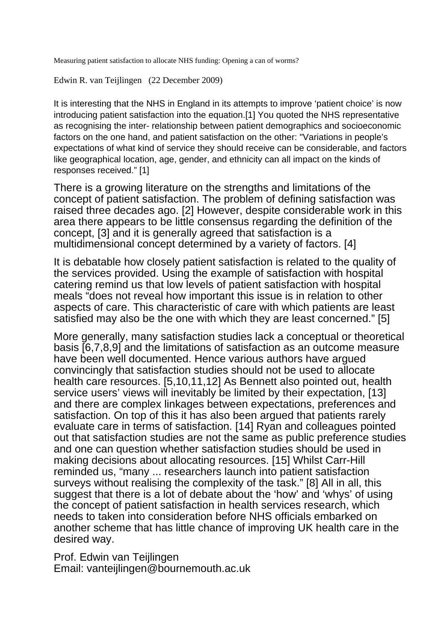Measuring patient satisfaction to allocate NHS funding: Opening a can of worms?

Edwin R. van Teijlingen (22 December 2009)

It is interesting that the NHS in England in its attempts to improve 'patient choice' is now introducing patient satisfaction into the equation.[1] You quoted the NHS representative as recognising the inter- relationship between patient demographics and socioeconomic factors on the one hand, and patient satisfaction on the other: "Variations in people's expectations of what kind of service they should receive can be considerable, and factors like geographical location, age, gender, and ethnicity can all impact on the kinds of responses received." [1]

There is a growing literature on the strengths and limitations of the concept of patient satisfaction. The problem of defining satisfaction was raised three decades ago. [2] However, despite considerable work in this area there appears to be little consensus regarding the definition of the concept, [3] and it is generally agreed that satisfaction is a multidimensional concept determined by a variety of factors. [4]

It is debatable how closely patient satisfaction is related to the quality of the services provided. Using the example of satisfaction with hospital catering remind us that low levels of patient satisfaction with hospital meals "does not reveal how important this issue is in relation to other aspects of care. This characteristic of care with which patients are least satisfied may also be the one with which they are least concerned." [5]

More generally, many satisfaction studies lack a conceptual or theoretical basis [6,7,8,9] and the limitations of satisfaction as an outcome measure have been well documented. Hence various authors have argued convincingly that satisfaction studies should not be used to allocate health care resources. [5,10,11,12] As Bennett also pointed out, health service users' views will inevitably be limited by their expectation, [13] and there are complex linkages between expectations, preferences and satisfaction. On top of this it has also been argued that patients rarely evaluate care in terms of satisfaction. [14] Ryan and colleagues pointed out that satisfaction studies are not the same as public preference studies and one can question whether satisfaction studies should be used in making decisions about allocating resources. [15] Whilst Carr-Hill reminded us, "many ... researchers launch into patient satisfaction surveys without realising the complexity of the task." [8] All in all, this suggest that there is a lot of debate about the 'how' and 'whys' of using the concept of patient satisfaction in health services research, which needs to taken into consideration before NHS officials embarked on another scheme that has little chance of improving UK health care in the desired way.

Prof. Edwin van Teijlingen Email: vanteijlingen@bournemouth.ac.uk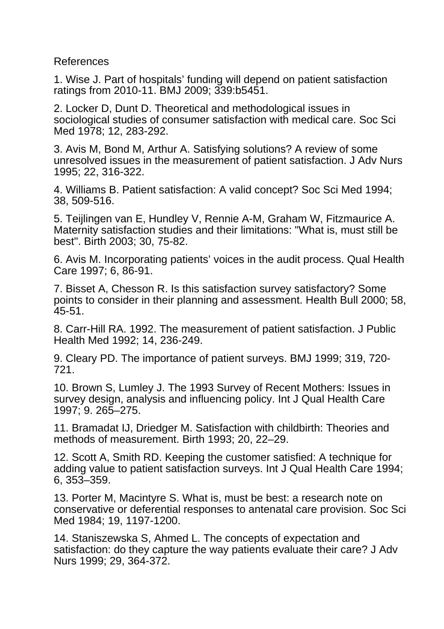References

1. Wise J. Part of hospitals' funding will depend on patient satisfaction ratings from 2010-11. BMJ 2009; 339:b5451.

2. Locker D, Dunt D. Theoretical and methodological issues in sociological studies of consumer satisfaction with medical care. Soc Sci Med 1978; 12, 283-292.

3. Avis M, Bond M, Arthur A. Satisfying solutions? A review of some unresolved issues in the measurement of patient satisfaction. J Adv Nurs 1995; 22, 316-322.

4. Williams B. Patient satisfaction: A valid concept? Soc Sci Med 1994; 38, 509-516.

5. Teijlingen van E, Hundley V, Rennie A-M, Graham W, Fitzmaurice A. Maternity satisfaction studies and their limitations: "What is, must still be best". Birth 2003; 30, 75-82.

6. Avis M. Incorporating patients' voices in the audit process. Qual Health Care 1997; 6, 86-91.

7. Bisset A, Chesson R. Is this satisfaction survey satisfactory? Some points to consider in their planning and assessment. Health Bull 2000; 58, 45-51.

8. Carr-Hill RA. 1992. The measurement of patient satisfaction. J Public Health Med 1992; 14, 236-249.

9. Cleary PD. The importance of patient surveys. BMJ 1999; 319, 720- 721.

10. Brown S, Lumley J. The 1993 Survey of Recent Mothers: Issues in survey design, analysis and influencing policy. Int J Qual Health Care 1997; 9. 265–275.

11. Bramadat IJ, Driedger M. Satisfaction with childbirth: Theories and methods of measurement. Birth 1993; 20, 22–29.

12. Scott A, Smith RD. Keeping the customer satisfied: A technique for adding value to patient satisfaction surveys. Int J Qual Health Care 1994; 6, 353–359.

13. Porter M, Macintyre S. What is, must be best: a research note on conservative or deferential responses to antenatal care provision. Soc Sci Med 1984; 19, 1197-1200.

14. Staniszewska S, Ahmed L. The concepts of expectation and satisfaction: do they capture the way patients evaluate their care? J Adv Nurs 1999; 29, 364-372.